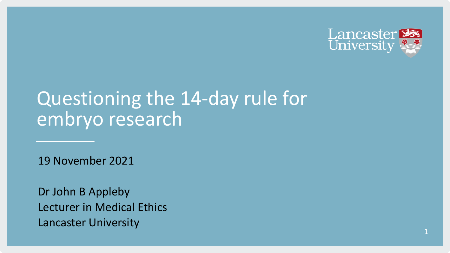

# Questioning the 14-day rule for embryo research

19 November 2021

Dr John B Appleby Lecturer in Medical Ethics Lancaster University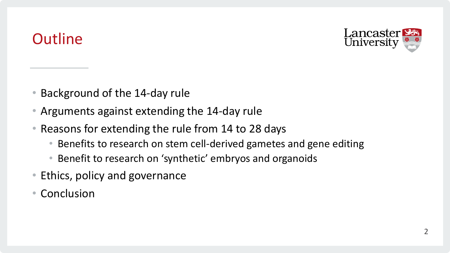### **Outline**



- Background of the 14-day rule
- Arguments against extending the 14-day rule
- Reasons for extending the rule from 14 to 28 days
	- Benefits to research on stem cell-derived gametes and gene editing
	- Benefit to research on 'synthetic' embryos and organoids
- Ethics, policy and governance
- Conclusion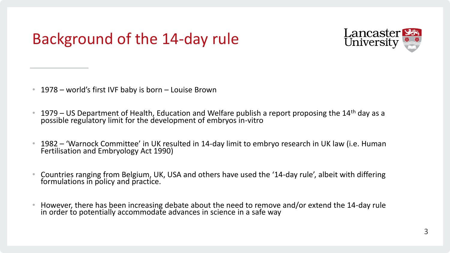

• 1978 – world's first IVF baby is born – Louise Brown

- 1979 US Department of Health, Education and Welfare publish a report proposing the 14<sup>th</sup> day as a possible regulatory limit for the development of embryos in-vitro
- 1982 'Warnock Committee' in UK resulted in 14-day limit to embryo research in UK law (i.e. Human Fertilisation and Embryology Act 1990)
- Countries ranging from Belgium, UK, USA and others have used the '14-day rule', albeit with differing formulations in policy and practice.
- However, there has been increasing debate about the need to remove and/or extend the 14-day rule in order to potentially accommodate advances in science in a safe way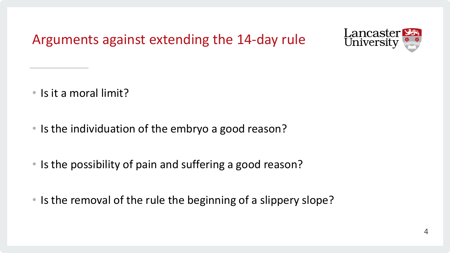Arguments against extending the 14-day rule



- Is it a moral limit?
- Is the individuation of the embryo a good reason?
- Is the possibility of pain and suffering a good reason?
- Is the removal of the rule the beginning of a slippery slope?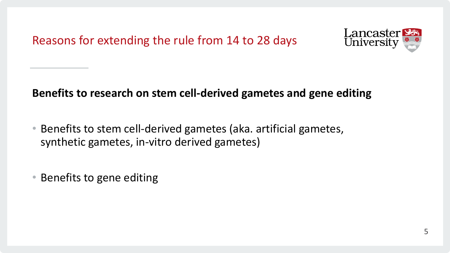Reasons for extending the rule from 14 to 28 days



#### **Benefits to research on stem cell-derived gametes and gene editing**

- Benefits to stem cell-derived gametes (aka. artificial gametes, synthetic gametes, in-vitro derived gametes)
- Benefits to gene editing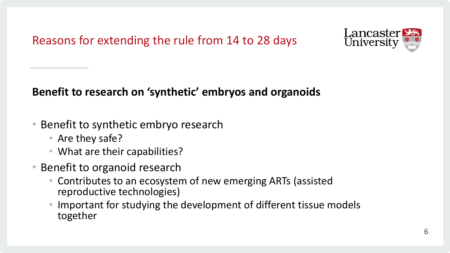Reasons for extending the rule from 14 to 28 days



### **Benefit to research on 'synthetic' embryos and organoids**

- Benefit to synthetic embryo research
	- Are they safe?
	- What are their capabilities?
- Benefit to organoid research
	- Contributes to an ecosystem of new emerging ARTs (assisted reproductive technologies)
	- Important for studying the development of different tissue models together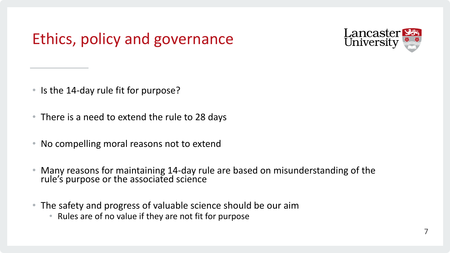## Ethics, policy and governance



- Is the 14-day rule fit for purpose?
- There is a need to extend the rule to 28 days
- No compelling moral reasons not to extend
- Many reasons for maintaining 14-day rule are based on misunderstanding of the rule's purpose or the associated science
- The safety and progress of valuable science should be our aim
	- Rules are of no value if they are not fit for purpose